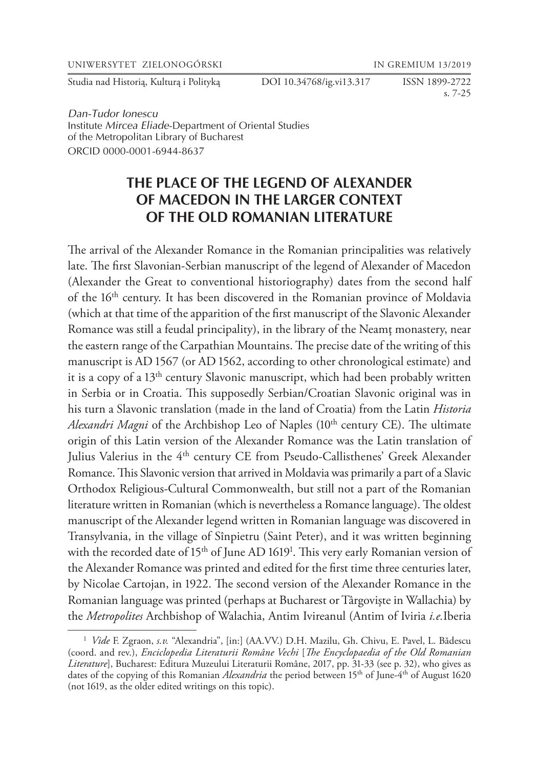UNIWERSYTET ZIELONOGÓRSKI IN GREMIUM 13/2019

Studia nad Historią, Kulturą i Polityką DOI 10.34768/ig.vi13.317 ISSN 1899-2722

s. 7-25

*Dan-Tudor Ionescu*  Institute *Mircea Eliade*-Department of Oriental Studies of the Metropolitan Library of Bucharest ORCID 0000-0001-6944-8637

# **THE PLACE OF THE LEGEND OF ALEXANDER OF MACEDON IN THE LARGER CONTEXT OF THE OLD ROMANIAN LITERATURE**

The arrival of the Alexander Romance in the Romanian principalities was relatively late. The first Slavonian-Serbian manuscript of the legend of Alexander of Macedon (Alexander the Great to conventional historiography) dates from the second half of the 16<sup>th</sup> century. It has been discovered in the Romanian province of Moldavia (which at that time of the apparition of the first manuscript of the Slavonic Alexander Romance was still a feudal principality), in the library of the Neamţ monastery, near the eastern range of the Carpathian Mountains. The precise date of the writing of this manuscript is AD 1567 (or AD 1562, according to other chronological estimate) and it is a copy of a 13<sup>th</sup> century Slavonic manuscript, which had been probably written in Serbia or in Croatia. This supposedly Serbian/Croatian Slavonic original was in his turn a Slavonic translation (made in the land of Croatia) from the Latin *Historia Alexandri Magni* of the Archbishop Leo of Naples (10<sup>th</sup> century CE). The ultimate origin of this Latin version of the Alexander Romance was the Latin translation of Julius Valerius in the 4<sup>th</sup> century CE from Pseudo-Callisthenes' Greek Alexander Romance. This Slavonic version that arrived in Moldavia was primarily a part of a Slavic Orthodox Religious-Cultural Commonwealth, but still not a part of the Romanian literature written in Romanian (which is nevertheless a Romance language). The oldest manuscript of the Alexander legend written in Romanian language was discovered in Transylvania, in the village of Sînpietru (Saint Peter), and it was written beginning with the recorded date of 15<sup>th</sup> of June AD 1619<sup>1</sup>. This very early Romanian version of the Alexander Romance was printed and edited for the first time three centuries later, by Nicolae Cartojan, in 1922. The second version of the Alexander Romance in the Romanian language was printed (perhaps at Bucharest or Târgovişte in Wallachia) by the *Metropolites* Archbishop of Walachia, Antim Ivireanul (Antim of Iviria *i.e.*Iberia

<sup>1</sup> *Vide* F. Zgraon, *s.v.* "Alexandria", [in:] (AA.VV.) D.H. Mazilu, Gh. Chivu, E. Pavel, L. Bădescu (coord. and rev.), *Enciclopedia Literaturii Române Vechi* [*The Encyclopaedia of the Old Romanian Literature*], Bucharest: Editura Muzeului Literaturii Române, 2017, pp. 31-33 (see p. 32), who gives as dates of the copying of this Romanian *Alexandria* the period between 15<sup>th</sup> of June-4<sup>th</sup> of August 1620 (not 1619, as the older edited writings on this topic).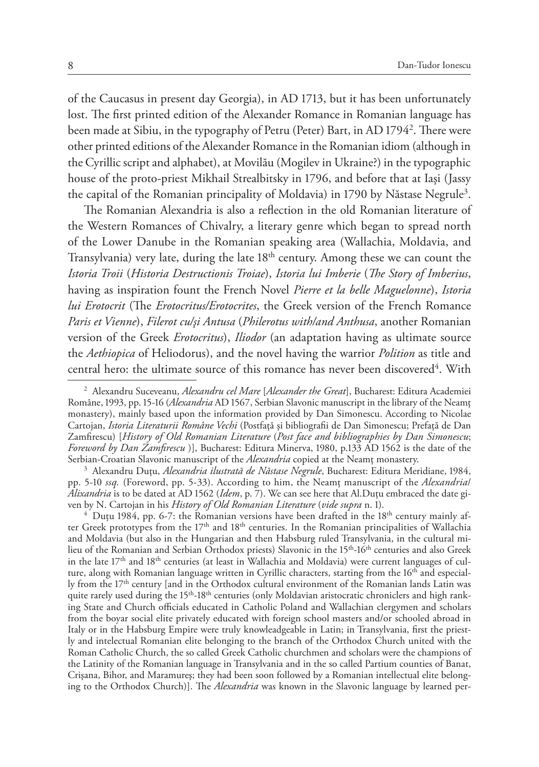of the Caucasus in present day Georgia), in AD 1713, but it has been unfortunately lost. The first printed edition of the Alexander Romance in Romanian language has been made at Sibiu, in the typography of Petru (Peter) Bart, in AD 1794<sup>2</sup>. There were other printed editions of the Alexander Romance in the Romanian idiom (although in the Cyrillic script and alphabet), at Movilău (Mogilev in Ukraine?) in the typographic house of the proto-priest Mikhail Strealbitsky in 1796, and before that at Iaşi (Jassy the capital of the Romanian principality of Moldavia) in 1790 by Năstase Negrule<sup>3</sup>.

The Romanian Alexandria is also a reflection in the old Romanian literature of the Western Romances of Chivalry, a literary genre which began to spread north of the Lower Danube in the Romanian speaking area (Wallachia, Moldavia, and Transylvania) very late, during the late 18<sup>th</sup> century. Among these we can count the *Istoria Troii* (*Historia Destructionis Troiae*), *Istoria lui Imberie* (*The Story of Imberius*, having as inspiration fount the French Novel *Pierre et la belle Maguelonne*), *Istoria lui Erotocrit* (The *Erotocritus/Erotocrites*, the Greek version of the French Romance *Paris et Vienne*), *Filerot cu/şi Antusa* (*Philerotus with/and Anthusa*, another Romanian version of the Greek *Erotocritus*), *Iliodor* (an adaptation having as ultimate source the *Aethiopica* of Heliodorus), and the novel having the warrior *Polition* as title and central hero: the ultimate source of this romance has never been discovered<sup>4</sup>. With

<sup>3</sup> Alexandru Duţu, *Alexandria ilustrată de Năstase Negrule*, Bucharest: Editura Meridiane, 1984, pp. 5-10 *ssq.* (Foreword, pp. 5-33). According to him, the Neamţ manuscript of the *Alexandria*/ *Alixandria* is to be dated at AD 1562 (*Idem*, p. 7). We can see here that Al.Duţu embraced the date gi-

<sup>4</sup> Duțu 1984, pp. 6-7: the Romanian versions have been drafted in the 18<sup>th</sup> century mainly after Greek prototypes from the 17<sup>th</sup> and 18<sup>th</sup> centuries. In the Romanian principalities of Wallachia and Moldavia (but also in the Hungarian and then Habsburg ruled Transylvania, in the cultural milieu of the Romanian and Serbian Orthodox priests) Slavonic in the 15<sup>th</sup>-16<sup>th</sup> centuries and also Greek in the late  $17<sup>th</sup>$  and  $18<sup>th</sup>$  centuries (at least in Wallachia and Moldavia) were current languages of culture, along with Romanian language written in Cyrillic characters, starting from the 16<sup>th</sup> and especially from the 17th century [and in the Orthodox cultural environment of the Romanian lands Latin was quite rarely used during the 15<sup>th</sup>-18<sup>th</sup> centuries (only Moldavian aristocratic chroniclers and high ranking State and Church officials educated in Catholic Poland and Wallachian clergymen and scholars from the boyar social elite privately educated with foreign school masters and/or schooled abroad in Italy or in the Habsburg Empire were truly knowleadgeable in Latin; in Transylvania, first the priestly and intelectual Romanian elite belonging to the branch of the Orthodox Church united with the Roman Catholic Church, the so called Greek Catholic churchmen and scholars were the champions of the Latinity of the Romanian language in Transylvania and in the so called Partium counties of Banat, Crişana, Bihor, and Maramureş; they had been soon followed by a Romanian intellectual elite belonging to the Orthodox Church)]. The *Alexandria* was known in the Slavonic language by learned per-

<sup>2</sup> Alexandru Suceveanu, *Alexandru cel Mare* [*Alexander the Great*], Bucharest: Editura Academiei Române, 1993, pp. 15-16 (*Alexandria* AD 1567, Serbian Slavonic manuscript in the library of the Neamţ monastery), mainly based upon the information provided by Dan Simonescu. According to Nicolae Cartojan, *Istoria Literaturii Române Vechi* (Postfaţă şi bibliografii de Dan Simonescu; Prefaţă de Dan Zamfirescu) [*History of Old Romanian Literature* (*Post face and bibliographies by Dan Simonescu*; *Foreword by Dan Zamfirescu* )], Bucharest: Editura Minerva, 1980, p.133 AD 1562 is the date of the Serbian-Croatian Slavonic manuscript of the *Alexandria* copied at the Neamţ monastery.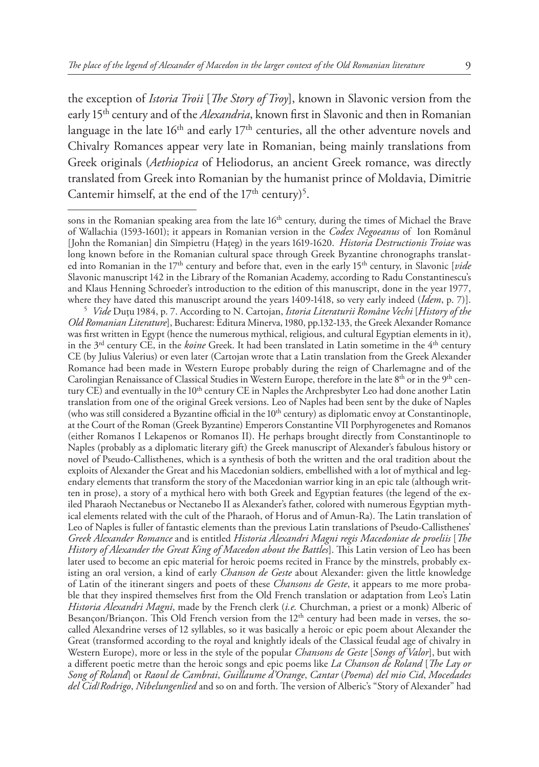the exception of *Istoria Troii* [*The Story of Troy*], known in Slavonic version from the early 15<sup>th</sup> century and of the *Alexandria*, known first in Slavonic and then in Romanian language in the late 16<sup>th</sup> and early 17<sup>th</sup> centuries, all the other adventure novels and Chivalry Romances appear very late in Romanian, being mainly translations from Greek originals (*Aethiopica* of Heliodorus, an ancient Greek romance, was directly translated from Greek into Romanian by the humanist prince of Moldavia, Dimitrie Cantemir himself, at the end of the  $17<sup>th</sup>$  century)<sup>5</sup>.

sons in the Romanian speaking area from the late 16<sup>th</sup> century, during the times of Michael the Brave of Wallachia (1593-1601); it appears in Romanian version in the *Codex Negoeanus* of Ion Românul [John the Romanian] din Sîmpietru (Haţeg) in the years 1619-1620. *Historia Destructionis Troiae* was long known before in the Romanian cultural space through Greek Byzantine chronographs translated into Romanian in the 17th century and before that, even in the early 15th century, in Slavonic [*vide*  Slavonic manuscript 142 in the Library of the Romanian Academy, according to Radu Constantinescu's and Klaus Henning Schroeder's introduction to the edition of this manuscript, done in the year 1977, where they have dated this manuscript around the years 1409-1418, so very early indeed (*Idem*, p. 7)].

<sup>5</sup> *Vide* Duţu 1984, p. 7. According to N. Cartojan, *Istoria Literaturii Române Vechi* [*History of the Old Romanian Literature*], Bucharest: Editura Minerva, 1980, pp.132-133, the Greek Alexander Romance was first written in Egypt (hence the numerous mythical, religious, and cultural Egyptian elements in it), in the 3rd century CE, in the *koine* Greek. It had been translated in Latin sometime in the 4th century CE (by Julius Valerius) or even later (Cartojan wrote that a Latin translation from the Greek Alexander Romance had been made in Western Europe probably during the reign of Charlemagne and of the Carolingian Renaissance of Classical Studies in Western Europe, therefore in the late 8<sup>th</sup> or in the 9<sup>th</sup> century CE) and eventually in the 10<sup>th</sup> century CE in Naples the Archpresbyter Leo had done another Latin translation from one of the original Greek versions. Leo of Naples had been sent by the duke of Naples (who was still considered a Byzantine official in the 10<sup>th</sup> century) as diplomatic envoy at Constantinople, at the Court of the Roman (Greek Byzantine) Emperors Constantine VII Porphyrogenetes and Romanos (either Romanos I Lekapenos or Romanos II). He perhaps brought directly from Constantinople to Naples (probably as a diplomatic literary gift) the Greek manuscript of Alexander's fabulous history or novel of Pseudo-Callisthenes, which is a synthesis of both the written and the oral tradition about the exploits of Alexander the Great and his Macedonian soldiers, embellished with a lot of mythical and legendary elements that transform the story of the Macedonian warrior king in an epic tale (although written in prose), a story of a mythical hero with both Greek and Egyptian features (the legend of the exiled Pharaoh Nectanebus or Nectanebo II as Alexander's father, colored with numerous Egyptian mythical elements related with the cult of the Pharaoh, of Horus and of Amun-Ra). The Latin translation of Leo of Naples is fuller of fantastic elements than the previous Latin translations of Pseudo-Callisthenes' *Greek Alexander Romance* and is entitled *Historia Alexandri Magni regis Macedoniae de proeliis* [*The History of Alexander the Great King of Macedon about the Battles*]. This Latin version of Leo has been later used to become an epic material for heroic poems recited in France by the minstrels, probably existing an oral version, a kind of early *Chanson de Geste* about Alexander: given the little knowledge of Latin of the itinerant singers and poets of these *Chansons de Geste*, it appears to me more probable that they inspired themselves first from the Old French translation or adaptation from Leo's Latin *Historia Alexandri Magni*, made by the French clerk (*i.e.* Churchman, a priest or a monk) Alberic of Besançon/Briançon. This Old French version from the 12<sup>th</sup> century had been made in verses, the socalled Alexandrine verses of 12 syllables, so it was basically a heroic or epic poem about Alexander the Great (transformed according to the royal and knightly ideals of the Classical feudal age of chivalry in Western Europe), more or less in the style of the popular *Chansons de Geste* [*Songs of Valor*], but with a different poetic metre than the heroic songs and epic poems like *La Chanson de Roland* [*The Lay or Song of Roland*] or *Raoul de Cambrai*, *Guillaume d'Orange*, *Cantar* (*Poema*) *del mio Cid*, *Mocedades del Cid*/*Rodrigo*, *Nibelungenlied* and so on and forth. The version of Alberic's "Story of Alexander" had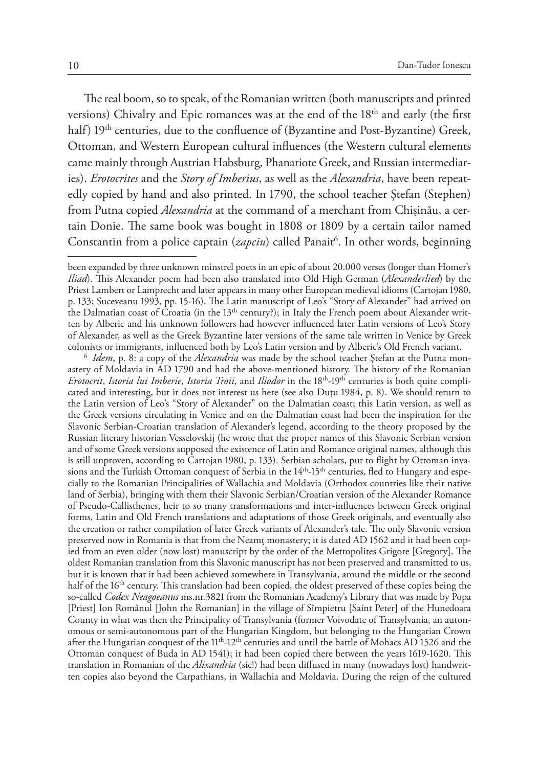The real boom, so to speak, of the Romanian written (both manuscripts and printed versions) Chivalry and Epic romances was at the end of the 18<sup>th</sup> and early (the first half) 19<sup>th</sup> centuries, due to the confluence of (Byzantine and Post-Byzantine) Greek, Ottoman, and Western European cultural influences (the Western cultural elements came mainly through Austrian Habsburg, Phanariote Greek, and Russian intermediaries). *Erotocrites* and the *Story of Imberius*, as well as the *Alexandria*, have been repeatedly copied by hand and also printed. In 1790, the school teacher Ştefan (Stephen) from Putna copied *Alexandria* at the command of a merchant from Chişinău, a certain Donie. The same book was bought in 1808 or 1809 by a certain tailor named Constantin from a police captain (*zapciu*) called Panait<sup>6</sup>. In other words, beginning

astery of Moldavia in AD 1790 and had the above-mentioned history. The history of the Romanian *Erotocrit*, *Istoria lui Imberie*, *Istoria Troii*, and *Iliodor* in the 18th-19th centuries is both quite complicated and interesting, but it does not interest us here (see also Duţu 1984, p. 8). We should return to the Latin version of Leo's "Story of Alexander" on the Dalmatian coast; this Latin version, as well as the Greek versions circulating in Venice and on the Dalmatian coast had been the inspiration for the Slavonic Serbian-Croatian translation of Alexander's legend, according to the theory proposed by the Russian literary historian Vesselovskij (he wrote that the proper names of this Slavonic Serbian version and of some Greek versions supposed the existence of Latin and Romance original names, although this is still unproven, according to Cartojan 1980, p. 133). Serbian scholars, put to flight by Ottoman invasions and the Turkish Ottoman conquest of Serbia in the 14<sup>th</sup>-15<sup>th</sup> centuries, fled to Hungary and especially to the Romanian Principalities of Wallachia and Moldavia (Orthodox countries like their native land of Serbia), bringing with them their Slavonic Serbian/Croatian version of the Alexander Romance of Pseudo-Callisthenes, heir to so many transformations and inter-influences between Greek original forms, Latin and Old French translations and adaptations of those Greek originals, and eventually also the creation or rather compilation of later Greek variants of Alexander's tale. The only Slavonic version preserved now in Romania is that from the Neamţ monastery; it is dated AD 1562 and it had been copied from an even older (now lost) manuscript by the order of the Metropolites Grigore [Gregory]. The oldest Romanian translation from this Slavonic manuscript has not been preserved and transmitted to us, but it is known that it had been achieved somewhere in Transylvania, around the middle or the second half of the 16<sup>th</sup> century. This translation had been copied, the oldest preserved of these copies being the so-called *Codex Neagoeanus* ms.nr.3821 from the Romanian Academy's Library that was made by Popa [Priest] Ion Românul [John the Romanian] in the village of Sîmpietru [Saint Peter] of the Hunedoara County in what was then the Principality of Transylvania (former Voivodate of Transylvania, an autonomous or semi-autonomous part of the Hungarian Kingdom, but belonging to the Hungarian Crown after the Hungarian conquest of the  $11<sup>th</sup> - 12<sup>th</sup>$  centuries and until the battle of Mohacs AD 1526 and the Ottoman conquest of Buda in AD 1541); it had been copied there between the years 1619-1620. This translation in Romanian of the *Alixandria* (sic!) had been diffused in many (nowadays lost) handwritten copies also beyond the Carpathians, in Wallachia and Moldavia. During the reign of the cultured

been expanded by three unknown minstrel poets in an epic of about 20.000 verses (longer than Homer's *Iliad*). This Alexander poem had been also translated into Old High German (*Alexanderlied*) by the Priest Lambert or Lamprecht and later appears in many other European medieval idioms (Cartojan 1980, p. 133; Suceveanu 1993, pp. 15-16). The Latin manuscript of Leo's "Story of Alexander" had arrived on the Dalmatian coast of Croatia (in the  $13<sup>th</sup>$  century?); in Italy the French poem about Alexander written by Alberic and his unknown followers had however influenced later Latin versions of Leo's Story of Alexander, as well as the Greek Byzantine later versions of the same tale written in Venice by Greek colonists or immigrants, influenced both by Leo's Latin version and by Alberic's Old French variant. 6 *Idem*, p. 8: a copy of the *Alexandria* was made by the school teacher Ştefan at the Putna mon-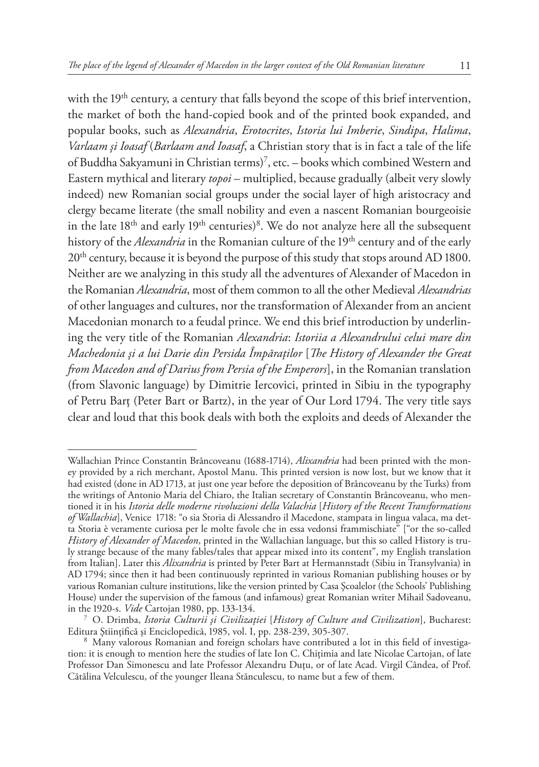with the 19<sup>th</sup> century, a century that falls beyond the scope of this brief intervention, the market of both the hand-copied book and of the printed book expanded, and popular books, such as *Alexandria*, *Erotocrites*, *Istoria lui Imberie*, *Sindipa*, *Halima*, *Varlaam şi Ioasaf* (*Barlaam and Ioasaf*, a Christian story that is in fact a tale of the life of Buddha Sakyamuni in Christian terms)7 , etc. – books which combined Western and Eastern mythical and literary *topoi* – multiplied, because gradually (albeit very slowly indeed) new Romanian social groups under the social layer of high aristocracy and clergy became literate (the small nobility and even a nascent Romanian bourgeoisie in the late  $18<sup>th</sup>$  and early  $19<sup>th</sup>$  centuries)<sup>8</sup>. We do not analyze here all the subsequent history of the *Alexandria* in the Romanian culture of the 19<sup>th</sup> century and of the early 20<sup>th</sup> century, because it is beyond the purpose of this study that stops around AD 1800. Neither are we analyzing in this study all the adventures of Alexander of Macedon in the Romanian *Alexandria*, most of them common to all the other Medieval *Alexandrias*  of other languages and cultures, nor the transformation of Alexander from an ancient Macedonian monarch to a feudal prince. We end this brief introduction by underlining the very title of the Romanian *Alexandria*: *Istoriia a Alexandrului celui mare din Machedonia şi a lui Darie din Persida Împăraţilor* [*The History of Alexander the Great from Macedon and of Darius from Persia of the Emperors*], in the Romanian translation (from Slavonic language) by Dimitrie Iercovici, printed in Sibiu in the typography of Petru Barţ (Peter Bart or Bartz), in the year of Our Lord 1794. The very title says clear and loud that this book deals with both the exploits and deeds of Alexander the

Wallachian Prince Constantin Brâncoveanu (1688-1714), *Alixandria* had been printed with the money provided by a rich merchant, Apostol Manu. This printed version is now lost, but we know that it had existed (done in AD 1713, at just one year before the deposition of Brâncoveanu by the Turks) from the writings of Antonio Maria del Chiaro, the Italian secretary of Constantin Brâncoveanu, who mentioned it in his *Istoria delle moderne rivoluzioni della Valachia* [*History of the Recent Transformations of Wallachia*], Venice 1718: "o sia Storia di Alessandro il Macedone, stampata in lingua valaca, ma detta Storia è veramente curiosa per le molte favole che in essa vedonsi frammischiate" ["or the so-called *History of Alexander of Macedon*, printed in the Wallachian language, but this so called History is truly strange because of the many fables/tales that appear mixed into its content", my English translation from Italian]. Later this *Alixandria* is printed by Peter Bart at Hermannstadt (Sibiu in Transylvania) in AD 1794; since then it had been continuously reprinted in various Romanian publishing houses or by various Romanian culture institutions, like the version printed by Casa Şcoalelor (the Schools' Publishing House) under the supervision of the famous (and infamous) great Romanian writer Mihail Sadoveanu, in the 1920-s. *Vide* Cartojan 1980, pp. 133-134.

in the 1920-s. *Vide* Cartojan 1980, pp. 133-134. 7 O. Drimba, *Istoria Culturii şi Civilizaţiei* [*History of Culture and Civilization*], Bucharest: Editura Ştiinţifică şi Enciclopedică, 1985, vol. I, pp. 238-239, 305-307. <sup>8</sup> Many valorous Romanian and foreign scholars have contributed a lot in this field of investiga-

tion: it is enough to mention here the studies of late Ion C. Chiţimia and late Nicolae Cartojan, of late Professor Dan Simonescu and late Professor Alexandru Duţu, or of late Acad. Virgil Cândea, of Prof. Cătălina Velculescu, of the younger Ileana Stănculescu, to name but a few of them.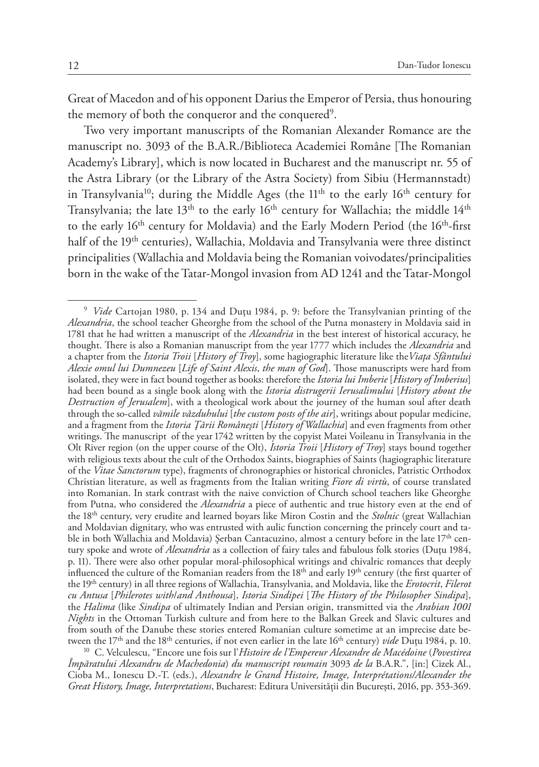Great of Macedon and of his opponent Darius the Emperor of Persia, thus honouring the memory of both the conqueror and the conquered<sup>9</sup>.

Two very important manuscripts of the Romanian Alexander Romance are the manuscript no. 3093 of the B.A.R./Biblioteca Academiei Române [The Romanian Academy's Library], which is now located in Bucharest and the manuscript nr. 55 of the Astra Library (or the Library of the Astra Society) from Sibiu (Hermannstadt) in Transylvania<sup>10</sup>; during the Middle Ages (the  $11<sup>th</sup>$  to the early  $16<sup>th</sup>$  century for Transylvania; the late  $13<sup>th</sup>$  to the early  $16<sup>th</sup>$  century for Wallachia; the middle  $14<sup>th</sup>$ to the early 16<sup>th</sup> century for Moldavia) and the Early Modern Period (the 16<sup>th</sup>-first half of the 19<sup>th</sup> centuries), Wallachia, Moldavia and Transylvania were three distinct principalities (Wallachia and Moldavia being the Romanian voivodates/principalities born in the wake of the Tatar-Mongol invasion from AD 1241 and the Tatar-Mongol

<sup>9</sup> *Vide* Cartojan 1980, p. 134 and Duţu 1984, p. 9: before the Transylvanian printing of the *Alexandria*, the school teacher Gheorghe from the school of the Putna monastery in Moldavia said in 1781 that he had written a manuscript of the *Alexandria* in the best interest of historical accuracy, he thought. There is also a Romanian manuscript from the year 1777 which includes the *Alexandria* and a chapter from the *Istoria Troii* [*History of Troy*], some hagiographic literature like the*Viaţa Sfântului Alexie omul lui Dumnezeu* [*Life of Saint Alexis*, *the man of God*]. Those manuscripts were hard from isolated, they were in fact bound together as books: therefore the *Istoria lui Imberie* [*History of Imberius*] had been bound as a single book along with the *Istoria distrugerii Ierusalimului* [*History about the Destruction of Jerusalem*], with a theological work about the journey of the human soul after death through the so-called *vămile văzduhului* [*the custom posts of the air*], writings about popular medicine, and a fragment from the *Istoria Ţării Româneşti* [*History of Wallachia*] and even fragments from other writings. The manuscript of the year 1742 written by the copyist Matei Voileanu in Transylvania in the Olt River region (on the upper course of the Olt), *Istoria Troii* [*History of Troy*] stays bound together with religious texts about the cult of the Orthodox Saints, biographies of Saints (hagiographic literature of the *Vitae Sanctorum* type), fragments of chronographies or historical chronicles, Patristic Orthodox Christian literature, as well as fragments from the Italian writing *Fiore di virtù*, of course translated into Romanian. In stark contrast with the naive conviction of Church school teachers like Gheorghe from Putna, who considered the *Alexandria* a piece of authentic and true history even at the end of the 18th century, very erudite and learned boyars like Miron Costin and the *Stolnic* (great Wallachian and Moldavian dignitary, who was entrusted with aulic function concerning the princely court and table in both Wallachia and Moldavia) Serban Cantacuzino, almost a century before in the late  $17<sup>th</sup>$  century spoke and wrote of *Alexandria* as a collection of fairy tales and fabulous folk stories (Duţu 1984, p. 11). There were also other popular moral-philosophical writings and chivalric romances that deeply influenced the culture of the Romanian readers from the 18<sup>th</sup> and early 19<sup>th</sup> century (the first quarter of the 19th century) in all three regions of Wallachia, Transylvania, and Moldavia, like the *Erotocrit*, *Filerot cu Antusa* [*Philerotes with*/*and Anthousa*], *Istoria Sindipei* [*The History of the Philosopher Sindipa*], the *Halima* (like *Sindipa* of ultimately Indian and Persian origin, transmitted via the *Arabian 1001 Nights* in the Ottoman Turkish culture and from here to the Balkan Greek and Slavic cultures and from south of the Danube these stories entered Romanian culture sometime at an imprecise date between the 17<sup>th</sup> and the 18<sup>th</sup> centuries, if not even earlier in the late 16<sup>th</sup> century) *vide* Dutu 1984, p. 10.

<sup>&</sup>lt;sup>10</sup> C. Velculescu, "Encore une fois sur l'Histoire de l'Empereur Alexandre de Macédoine (Povestirea *Împăratului Alexandru de Machedonia*) *du manuscript roumain* 3093 *de la* B.A.R.", [in:] Cizek Al., Cioba M., Ionescu D.-T. (eds.), *Alexandre le Grand Histoire, Image, Interprétations/Alexander the Great History, Image, Interpretations*, Bucharest: Editura Universității din Bucureşti, 2016, pp. 353-369.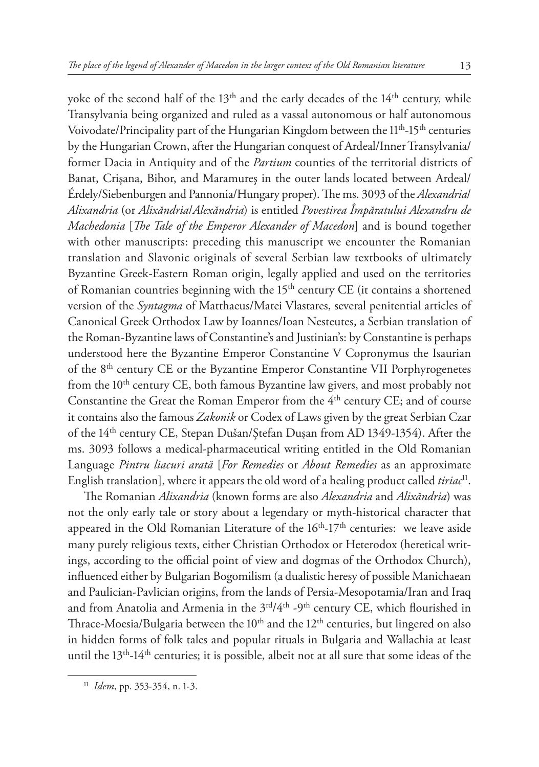yoke of the second half of the 13<sup>th</sup> and the early decades of the 14<sup>th</sup> century, while Transylvania being organized and ruled as a vassal autonomous or half autonomous Voivodate/Principality part of the Hungarian Kingdom between the 11<sup>th</sup>-15<sup>th</sup> centuries by the Hungarian Crown, after the Hungarian conquest of Ardeal/Inner Transylvania/ former Dacia in Antiquity and of the *Partium* counties of the territorial districts of Banat, Crişana, Bihor, and Maramureş in the outer lands located between Ardeal/ Érdely/Siebenburgen and Pannonia/Hungary proper). The ms. 3093 of the *Alexandria*/ *Alixandria* (or *Alixăndria*/*Alexăndria*) is entitled *Povestirea Împăratului Alexandru de Machedonia* [*The Tale of the Emperor Alexander of Macedon*] and is bound together with other manuscripts: preceding this manuscript we encounter the Romanian translation and Slavonic originals of several Serbian law textbooks of ultimately Byzantine Greek-Eastern Roman origin, legally applied and used on the territories of Romanian countries beginning with the  $15<sup>th</sup>$  century CE (it contains a shortened version of the *Syntagma* of Matthaeus/Matei Vlastares, several penitential articles of Canonical Greek Orthodox Law by Ioannes/Ioan Nesteutes, a Serbian translation of the Roman-Byzantine laws of Constantine's and Justinian's: by Constantine is perhaps understood here the Byzantine Emperor Constantine V Copronymus the Isaurian of the 8th century CE or the Byzantine Emperor Constantine VII Porphyrogenetes from the 10<sup>th</sup> century CE, both famous Byzantine law givers, and most probably not Constantine the Great the Roman Emperor from the 4<sup>th</sup> century CE; and of course it contains also the famous *Zakonik* or Codex of Laws given by the great Serbian Czar of the 14<sup>th</sup> century CE, Stepan Dušan/Ştefan Duşan from AD 1349-1354). After the ms. 3093 follows a medical-pharmaceutical writing entitled in the Old Romanian Language *Pintru liacuri arată* [*For Remedies* or *About Remedies* as an approximate English translation], where it appears the old word of a healing product called *tiriac*11.

The Romanian *Alixandria* (known forms are also *Alexandria* and *Alixăndria*) was not the only early tale or story about a legendary or myth-historical character that appeared in the Old Romanian Literature of the  $16<sup>th</sup>$ -17<sup>th</sup> centuries: we leave aside many purely religious texts, either Christian Orthodox or Heterodox (heretical writings, according to the official point of view and dogmas of the Orthodox Church), influenced either by Bulgarian Bogomilism (a dualistic heresy of possible Manichaean and Paulician-Pavlician origins, from the lands of Persia-Mesopotamia/Iran and Iraq and from Anatolia and Armenia in the  $3<sup>rd</sup>/4<sup>th</sup>$  -9<sup>th</sup> century CE, which flourished in Thrace-Moesia/Bulgaria between the  $10<sup>th</sup>$  and the  $12<sup>th</sup>$  centuries, but lingered on also in hidden forms of folk tales and popular rituals in Bulgaria and Wallachia at least until the 13<sup>th</sup>-14<sup>th</sup> centuries; it is possible, albeit not at all sure that some ideas of the

<sup>11</sup> *Idem*, pp. 353-354, n. 1-3.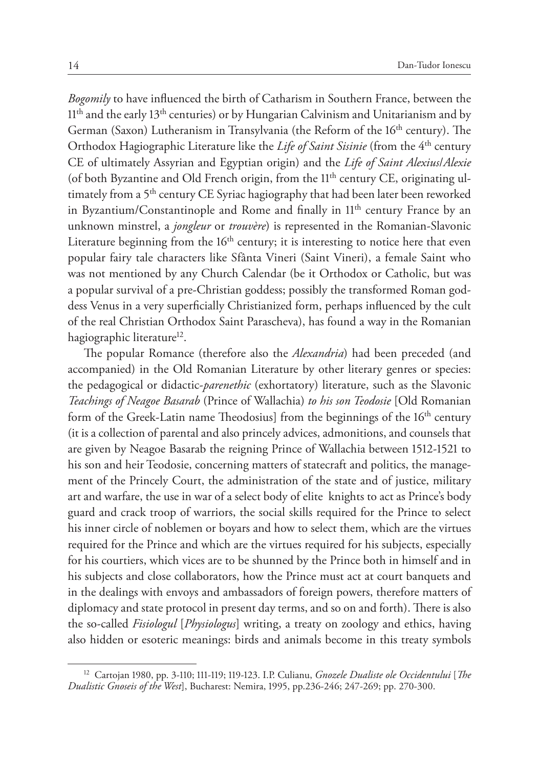*Bogomily* to have influenced the birth of Catharism in Southern France, between the 11<sup>th</sup> and the early 13<sup>th</sup> centuries) or by Hungarian Calvinism and Unitarianism and by German (Saxon) Lutheranism in Transylvania (the Reform of the 16<sup>th</sup> century). The Orthodox Hagiographic Literature like the *Life of Saint Sisinie* (from the 4<sup>th</sup> century CE of ultimately Assyrian and Egyptian origin) and the *Life of Saint Alexius*/*Alexie*  (of both Byzantine and Old French origin, from the 11<sup>th</sup> century CE, originating ultimately from a 5<sup>th</sup> century CE Syriac hagiography that had been later been reworked in Byzantium/Constantinople and Rome and finally in 11<sup>th</sup> century France by an unknown minstrel, a *jongleur* or *trouvère*) is represented in the Romanian-Slavonic Literature beginning from the  $16<sup>th</sup>$  century; it is interesting to notice here that even popular fairy tale characters like Sfânta Vineri (Saint Vineri), a female Saint who was not mentioned by any Church Calendar (be it Orthodox or Catholic, but was a popular survival of a pre-Christian goddess; possibly the transformed Roman goddess Venus in a very superficially Christianized form, perhaps influenced by the cult of the real Christian Orthodox Saint Parascheva), has found a way in the Romanian hagiographic literature<sup>12</sup>.

The popular Romance (therefore also the *Alexandria*) had been preceded (and accompanied) in the Old Romanian Literature by other literary genres or species: the pedagogical or didactic-*parenethic* (exhortatory) literature, such as the Slavonic *Teachings of Neagoe Basarab* (Prince of Wallachia) *to his son Teodosie* [Old Romanian form of the Greek-Latin name Theodosius] from the beginnings of the 16<sup>th</sup> century (it is a collection of parental and also princely advices, admonitions, and counsels that are given by Neagoe Basarab the reigning Prince of Wallachia between 1512-1521 to his son and heir Teodosie, concerning matters of statecraft and politics, the management of the Princely Court, the administration of the state and of justice, military art and warfare, the use in war of a select body of elite knights to act as Prince's body guard and crack troop of warriors, the social skills required for the Prince to select his inner circle of noblemen or boyars and how to select them, which are the virtues required for the Prince and which are the virtues required for his subjects, especially for his courtiers, which vices are to be shunned by the Prince both in himself and in his subjects and close collaborators, how the Prince must act at court banquets and in the dealings with envoys and ambassadors of foreign powers, therefore matters of diplomacy and state protocol in present day terms, and so on and forth). There is also the so-called *Fisiologul* [*Physiologus*] writing, a treaty on zoology and ethics, having also hidden or esoteric meanings: birds and animals become in this treaty symbols

<sup>12</sup> Cartojan 1980, pp. 3-110; 111-119; 119-123. I.P. Culianu, *Gnozele Dualiste ole Occidentului* [*The Dualistic Gnoseis of the West*], Bucharest: Nemira, 1995, pp.236-246; 247-269; pp. 270-300.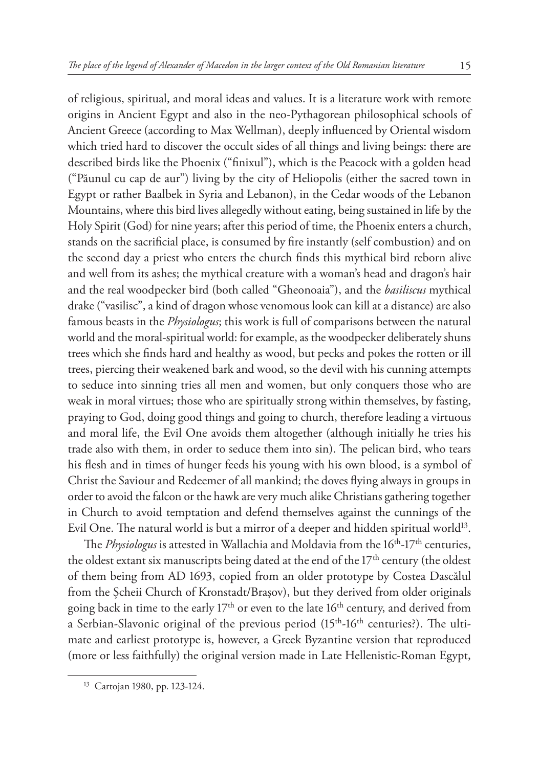of religious, spiritual, and moral ideas and values. It is a literature work with remote origins in Ancient Egypt and also in the neo-Pythagorean philosophical schools of Ancient Greece (according to Max Wellman), deeply influenced by Oriental wisdom which tried hard to discover the occult sides of all things and living beings: there are described birds like the Phoenix ("finixul"), which is the Peacock with a golden head ("Păunul cu cap de aur") living by the city of Heliopolis (either the sacred town in Egypt or rather Baalbek in Syria and Lebanon), in the Cedar woods of the Lebanon Mountains, where this bird lives allegedly without eating, being sustained in life by the Holy Spirit (God) for nine years; after this period of time, the Phoenix enters a church,

stands on the sacrificial place, is consumed by fire instantly (self combustion) and on the second day a priest who enters the church finds this mythical bird reborn alive and well from its ashes; the mythical creature with a woman's head and dragon's hair and the real woodpecker bird (both called "Gheonoaia"), and the *basiliscus* mythical drake ("vasilisc", a kind of dragon whose venomous look can kill at a distance) are also famous beasts in the *Physiologus*; this work is full of comparisons between the natural world and the moral-spiritual world: for example, as the woodpecker deliberately shuns trees which she finds hard and healthy as wood, but pecks and pokes the rotten or ill trees, piercing their weakened bark and wood, so the devil with his cunning attempts to seduce into sinning tries all men and women, but only conquers those who are weak in moral virtues; those who are spiritually strong within themselves, by fasting, praying to God, doing good things and going to church, therefore leading a virtuous and moral life, the Evil One avoids them altogether (although initially he tries his trade also with them, in order to seduce them into sin). The pelican bird, who tears his flesh and in times of hunger feeds his young with his own blood, is a symbol of Christ the Saviour and Redeemer of all mankind; the doves flying always in groups in order to avoid the falcon or the hawk are very much alike Christians gathering together in Church to avoid temptation and defend themselves against the cunnings of the Evil One. The natural world is but a mirror of a deeper and hidden spiritual world<sup>13</sup>.

The *Physiologus* is attested in Wallachia and Moldavia from the 16<sup>th</sup>-17<sup>th</sup> centuries, the oldest extant six manuscripts being dated at the end of the  $17<sup>th</sup>$  century (the oldest of them being from AD 1693, copied from an older prototype by Costea Dascălul from the Şcheii Church of Kronstadt/Braşov), but they derived from older originals going back in time to the early 17<sup>th</sup> or even to the late 16<sup>th</sup> century, and derived from a Serbian-Slavonic original of the previous period (15<sup>th</sup>-16<sup>th</sup> centuries?). The ultimate and earliest prototype is, however, a Greek Byzantine version that reproduced (more or less faithfully) the original version made in Late Hellenistic-Roman Egypt,

<sup>13</sup> Cartojan 1980, pp. 123-124.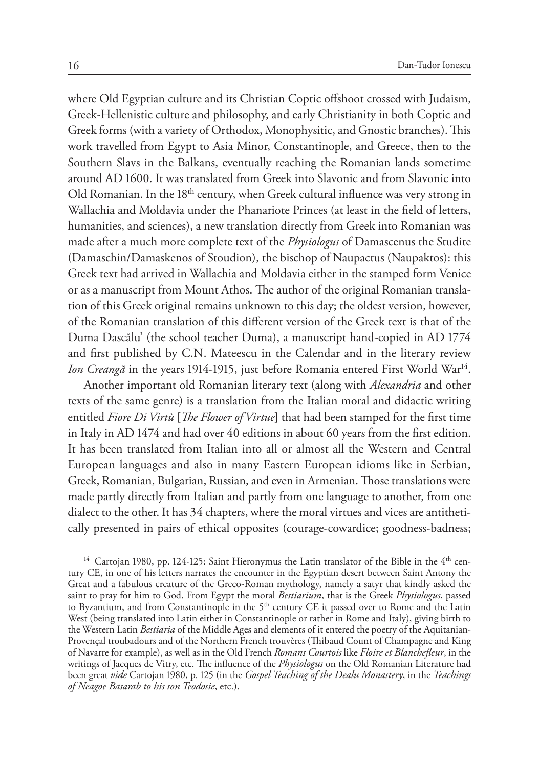where Old Egyptian culture and its Christian Coptic offshoot crossed with Judaism, Greek-Hellenistic culture and philosophy, and early Christianity in both Coptic and Greek forms (with a variety of Orthodox, Monophysitic, and Gnostic branches). This work travelled from Egypt to Asia Minor, Constantinople, and Greece, then to the Southern Slavs in the Balkans, eventually reaching the Romanian lands sometime around AD 1600. It was translated from Greek into Slavonic and from Slavonic into Old Romanian. In the 18<sup>th</sup> century, when Greek cultural influence was very strong in Wallachia and Moldavia under the Phanariote Princes (at least in the field of letters, humanities, and sciences), a new translation directly from Greek into Romanian was made after a much more complete text of the *Physiologus* of Damascenus the Studite (Damaschin/Damaskenos of Stoudion), the bischop of Naupactus (Naupaktos): this Greek text had arrived in Wallachia and Moldavia either in the stamped form Venice or as a manuscript from Mount Athos. The author of the original Romanian translation of this Greek original remains unknown to this day; the oldest version, however, of the Romanian translation of this different version of the Greek text is that of the Duma Dascălu' (the school teacher Duma), a manuscript hand-copied in AD 1774 and first published by C.N. Mateescu in the Calendar and in the literary review *Ion Creangă* in the years 1914-1915, just before Romania entered First World War<sup>14</sup>.

Another important old Romanian literary text (along with *Alexandria* and other texts of the same genre) is a translation from the Italian moral and didactic writing entitled *Fiore Di Virtù* [*The Flower of Virtue*] that had been stamped for the first time in Italy in AD 1474 and had over 40 editions in about 60 years from the first edition. It has been translated from Italian into all or almost all the Western and Central European languages and also in many Eastern European idioms like in Serbian, Greek, Romanian, Bulgarian, Russian, and even in Armenian. Those translations were made partly directly from Italian and partly from one language to another, from one dialect to the other. It has 34 chapters, where the moral virtues and vices are antithetically presented in pairs of ethical opposites (courage-cowardice; goodness-badness;

<sup>&</sup>lt;sup>14</sup> Cartojan 1980, pp. 124-125: Saint Hieronymus the Latin translator of the Bible in the 4<sup>th</sup> century CE, in one of his letters narrates the encounter in the Egyptian desert between Saint Antony the Great and a fabulous creature of the Greco-Roman mythology, namely a satyr that kindly asked the saint to pray for him to God. From Egypt the moral *Bestiarium*, that is the Greek *Physiologus*, passed to Byzantium, and from Constantinople in the 5<sup>th</sup> century CE it passed over to Rome and the Latin West (being translated into Latin either in Constantinople or rather in Rome and Italy), giving birth to the Western Latin *Bestiaria* of the Middle Ages and elements of it entered the poetry of the Aquitanian-Provençal troubadours and of the Northern French trouvères (Thibaud Count of Champagne and King of Navarre for example), as well as in the Old French *Romans Courtois* like *Floire et Blanchefleur*, in the writings of Jacques de Vitry, etc. The influence of the *Physiologus* on the Old Romanian Literature had been great *vide* Cartojan 1980, p. 125 (in the *Gospel Teaching of the Dealu Monastery*, in the *Teachings of Neagoe Basarab to his son Teodosie*, etc.).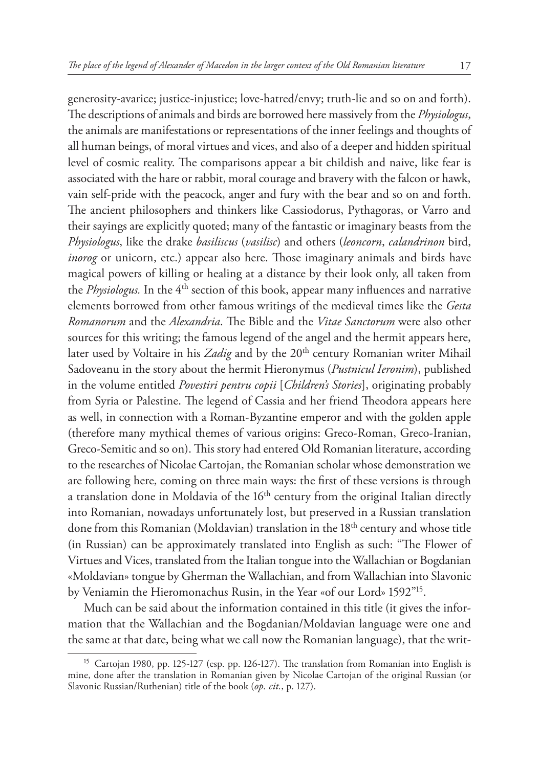generosity-avarice; justice-injustice; love-hatred/envy; truth-lie and so on and forth). The descriptions of animals and birds are borrowed here massively from the *Physiologus*, the animals are manifestations or representations of the inner feelings and thoughts of all human beings, of moral virtues and vices, and also of a deeper and hidden spiritual level of cosmic reality. The comparisons appear a bit childish and naive, like fear is associated with the hare or rabbit, moral courage and bravery with the falcon or hawk, vain self-pride with the peacock, anger and fury with the bear and so on and forth. The ancient philosophers and thinkers like Cassiodorus, Pythagoras, or Varro and their sayings are explicitly quoted; many of the fantastic or imaginary beasts from the *Physiologus*, like the drake *basiliscus* (*vasilisc*) and others (*leoncorn*, *calandrinon* bird, *inorog* or unicorn, etc.) appear also here. Those imaginary animals and birds have magical powers of killing or healing at a distance by their look only, all taken from the *Physiologus*. In the 4<sup>th</sup> section of this book, appear many influences and narrative elements borrowed from other famous writings of the medieval times like the *Gesta Romanorum* and the *Alexandria*. The Bible and the *Vitae Sanctorum* were also other sources for this writing; the famous legend of the angel and the hermit appears here, later used by Voltaire in his Zadig and by the 20<sup>th</sup> century Romanian writer Mihail Sadoveanu in the story about the hermit Hieronymus (*Pustnicul Ieronim*), published in the volume entitled *Povestiri pentru copii* [*Children's Stories*], originating probably from Syria or Palestine. The legend of Cassia and her friend Theodora appears here as well, in connection with a Roman-Byzantine emperor and with the golden apple (therefore many mythical themes of various origins: Greco-Roman, Greco-Iranian, Greco-Semitic and so on). This story had entered Old Romanian literature, according to the researches of Nicolae Cartojan, the Romanian scholar whose demonstration we are following here, coming on three main ways: the first of these versions is through a translation done in Moldavia of the 16<sup>th</sup> century from the original Italian directly into Romanian, nowadays unfortunately lost, but preserved in a Russian translation done from this Romanian (Moldavian) translation in the 18<sup>th</sup> century and whose title (in Russian) can be approximately translated into English as such: "The Flower of Virtues and Vices, translated from the Italian tongue into the Wallachian or Bogdanian «Moldavian» tongue by Gherman the Wallachian, and from Wallachian into Slavonic by Veniamin the Hieromonachus Rusin, in the Year «of our Lord» 1592"15.

Much can be said about the information contained in this title (it gives the information that the Wallachian and the Bogdanian/Moldavian language were one and the same at that date, being what we call now the Romanian language), that the writ-

<sup>&</sup>lt;sup>15</sup> Cartojan 1980, pp. 125-127 (esp. pp. 126-127). The translation from Romanian into English is mine, done after the translation in Romanian given by Nicolae Cartojan of the original Russian (or Slavonic Russian/Ruthenian) title of the book (*op. cit.*, p. 127).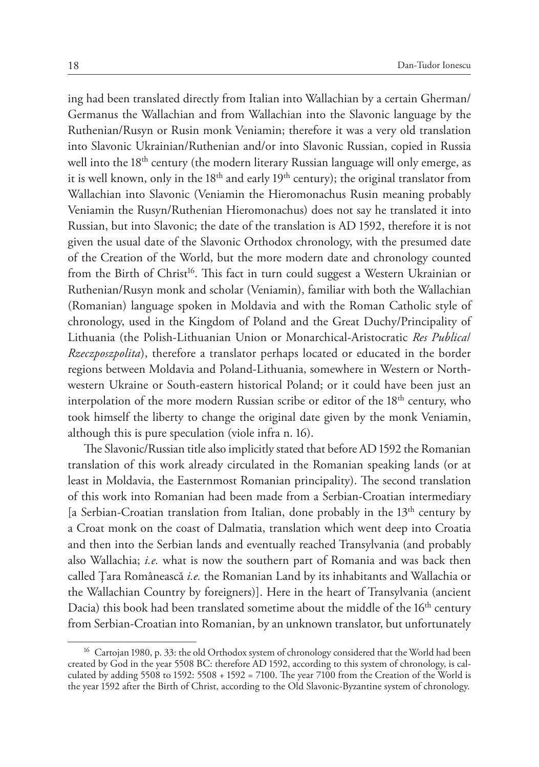ing had been translated directly from Italian into Wallachian by a certain Gherman/ Germanus the Wallachian and from Wallachian into the Slavonic language by the Ruthenian/Rusyn or Rusin monk Veniamin; therefore it was a very old translation into Slavonic Ukrainian/Ruthenian and/or into Slavonic Russian, copied in Russia well into the 18<sup>th</sup> century (the modern literary Russian language will only emerge, as it is well known, only in the 18<sup>th</sup> and early 19<sup>th</sup> century); the original translator from Wallachian into Slavonic (Veniamin the Hieromonachus Rusin meaning probably Veniamin the Rusyn/Ruthenian Hieromonachus) does not say he translated it into Russian, but into Slavonic; the date of the translation is AD 1592, therefore it is not given the usual date of the Slavonic Orthodox chronology, with the presumed date of the Creation of the World, but the more modern date and chronology counted from the Birth of Christ<sup>16</sup>. This fact in turn could suggest a Western Ukrainian or Ruthenian/Rusyn monk and scholar (Veniamin), familiar with both the Wallachian (Romanian) language spoken in Moldavia and with the Roman Catholic style of chronology, used in the Kingdom of Poland and the Great Duchy/Principality of Lithuania (the Polish-Lithuanian Union or Monarchical-Aristocratic *Res Publica*/ *Rzeczposzpolita*), therefore a translator perhaps located or educated in the border regions between Moldavia and Poland-Lithuania, somewhere in Western or Northwestern Ukraine or South-eastern historical Poland; or it could have been just an interpolation of the more modern Russian scribe or editor of the  $18<sup>th</sup>$  century, who took himself the liberty to change the original date given by the monk Veniamin, although this is pure speculation (viole infra n. 16).

The Slavonic/Russian title also implicitly stated that before AD 1592 the Romanian translation of this work already circulated in the Romanian speaking lands (or at least in Moldavia, the Easternmost Romanian principality). The second translation of this work into Romanian had been made from a Serbian-Croatian intermediary [a Serbian-Croatian translation from Italian, done probably in the  $13<sup>th</sup>$  century by a Croat monk on the coast of Dalmatia, translation which went deep into Croatia and then into the Serbian lands and eventually reached Transylvania (and probably also Wallachia; *i.e.* what is now the southern part of Romania and was back then called Ţara Românească *i.e.* the Romanian Land by its inhabitants and Wallachia or the Wallachian Country by foreigners)]. Here in the heart of Transylvania (ancient Dacia) this book had been translated sometime about the middle of the 16<sup>th</sup> century from Serbian-Croatian into Romanian, by an unknown translator, but unfortunately

<sup>&</sup>lt;sup>16</sup> Cartojan 1980, p. 33: the old Orthodox system of chronology considered that the World had been created by God in the year 5508 BC: therefore AD 1592, according to this system of chronology, is calculated by adding 5508 to 1592: 5508 + 1592 = 7100. The year 7100 from the Creation of the World is the year 1592 after the Birth of Christ, according to the Old Slavonic-Byzantine system of chronology.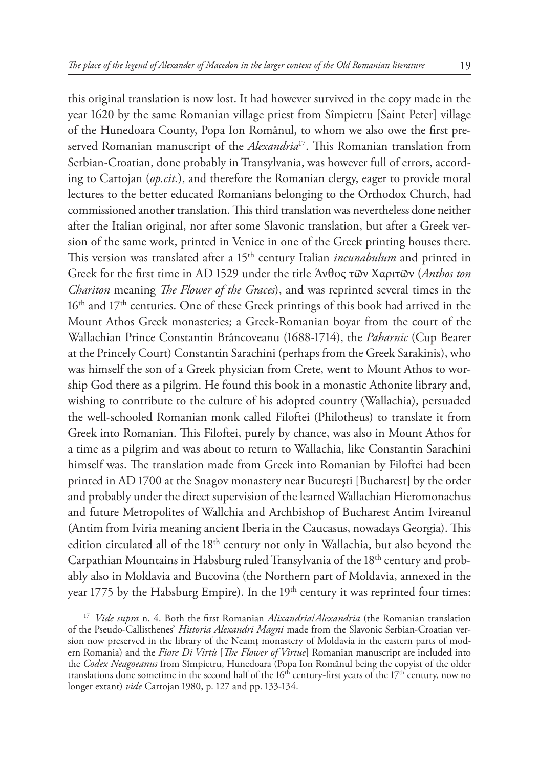this original translation is now lost. It had however survived in the copy made in the year 1620 by the same Romanian village priest from Sîmpietru [Saint Peter] village of the Hunedoara County, Popa Ion Românul, to whom we also owe the first preserved Romanian manuscript of the *Alexandria*17. This Romanian translation from Serbian-Croatian, done probably in Transylvania, was however full of errors, according to Cartojan (*op.cit.*), and therefore the Romanian clergy, eager to provide moral lectures to the better educated Romanians belonging to the Orthodox Church, had commissioned another translation. This third translation was nevertheless done neither after the Italian original, nor after some Slavonic translation, but after a Greek version of the same work, printed in Venice in one of the Greek printing houses there. This version was translated after a 15<sup>th</sup> century Italian *incunabulum* and printed in Greek for the first time in AD 1529 under the title Άνθος τϖν Χαριτϖν (*Anthos ton Chariton* meaning *The Flower of the Graces*), and was reprinted several times in the 16<sup>th</sup> and 17<sup>th</sup> centuries. One of these Greek printings of this book had arrived in the Mount Athos Greek monasteries; a Greek-Romanian boyar from the court of the Wallachian Prince Constantin Brâncoveanu (1688-1714), the *Paharnic* (Cup Bearer at the Princely Court) Constantin Sarachini (perhaps from the Greek Sarakinis), who was himself the son of a Greek physician from Crete, went to Mount Athos to worship God there as a pilgrim. He found this book in a monastic Athonite library and, wishing to contribute to the culture of his adopted country (Wallachia), persuaded the well-schooled Romanian monk called Filoftei (Philotheus) to translate it from Greek into Romanian. This Filoftei, purely by chance, was also in Mount Athos for a time as a pilgrim and was about to return to Wallachia, like Constantin Sarachini himself was. The translation made from Greek into Romanian by Filoftei had been printed in AD 1700 at the Snagov monastery near Bucureşti [Bucharest] by the order and probably under the direct supervision of the learned Wallachian Hieromonachus and future Metropolites of Wallchia and Archbishop of Bucharest Antim Ivireanul (Antim from Iviria meaning ancient Iberia in the Caucasus, nowadays Georgia). This edition circulated all of the 18<sup>th</sup> century not only in Wallachia, but also beyond the Carpathian Mountains in Habsburg ruled Transylvania of the 18th century and probably also in Moldavia and Bucovina (the Northern part of Moldavia, annexed in the year 1775 by the Habsburg Empire). In the 19<sup>th</sup> century it was reprinted four times:

<sup>17</sup> *Vide supra* n. 4. Both the first Romanian *Alixandria*/*Alexandria* (the Romanian translation of the Pseudo-Callisthenes' *Historia Alexandri Magni* made from the Slavonic Serbian-Croatian version now preserved in the library of the Neamţ monastery of Moldavia in the eastern parts of modern Romania) and the *Fiore Di Virtù* [*The Flower of Virtue*] Romanian manuscript are included into the *Codex Neagoeanus* from Sîmpietru, Hunedoara (Popa Ion Românul being the copyist of the older translations done sometime in the second half of the  $16<sup>th</sup>$  century-first years of the  $17<sup>th</sup>$  century, now no longer extant) *vide* Cartojan 1980, p. 127 and pp. 133-134.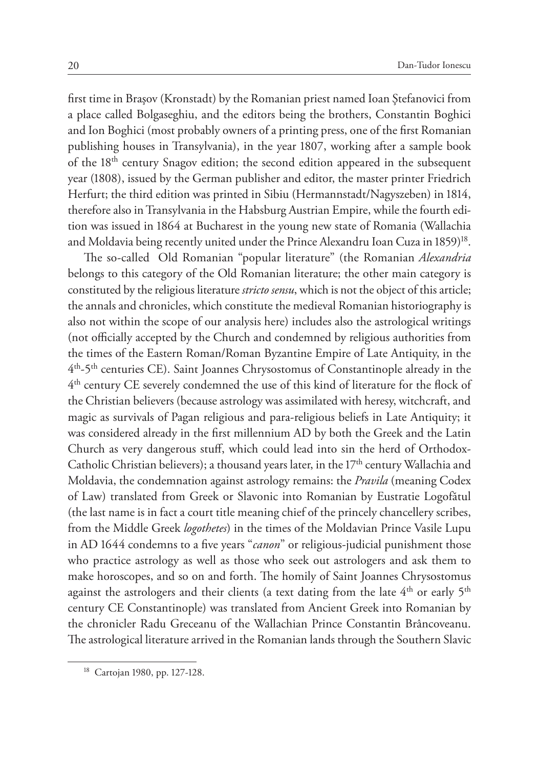first time in Braşov (Kronstadt) by the Romanian priest named Ioan Ştefanovici from a place called Bolgaseghiu, and the editors being the brothers, Constantin Boghici and Ion Boghici (most probably owners of a printing press, one of the first Romanian publishing houses in Transylvania), in the year 1807, working after a sample book of the 18<sup>th</sup> century Snagov edition; the second edition appeared in the subsequent year (1808), issued by the German publisher and editor, the master printer Friedrich Herfurt; the third edition was printed in Sibiu (Hermannstadt/Nagyszeben) in 1814, therefore also in Transylvania in the Habsburg Austrian Empire, while the fourth edition was issued in 1864 at Bucharest in the young new state of Romania (Wallachia and Moldavia being recently united under the Prince Alexandru Ioan Cuza in 1859)<sup>18</sup>.

The so-called Old Romanian "popular literature" (the Romanian *Alexandria*  belongs to this category of the Old Romanian literature; the other main category is constituted by the religious literature *stricto sensu*, which is not the object of this article; the annals and chronicles, which constitute the medieval Romanian historiography is also not within the scope of our analysis here) includes also the astrological writings (not officially accepted by the Church and condemned by religious authorities from the times of the Eastern Roman/Roman Byzantine Empire of Late Antiquity, in the 4th-5th centuries CE). Saint Joannes Chrysostomus of Constantinople already in the 4th century CE severely condemned the use of this kind of literature for the flock of the Christian believers (because astrology was assimilated with heresy, witchcraft, and magic as survivals of Pagan religious and para-religious beliefs in Late Antiquity; it was considered already in the first millennium AD by both the Greek and the Latin Church as very dangerous stuff, which could lead into sin the herd of Orthodox-Catholic Christian believers); a thousand years later, in the  $17<sup>th</sup>$  century Wallachia and Moldavia, the condemnation against astrology remains: the *Pravila* (meaning Codex of Law) translated from Greek or Slavonic into Romanian by Eustratie Logofătul (the last name is in fact a court title meaning chief of the princely chancellery scribes, from the Middle Greek *logothetes*) in the times of the Moldavian Prince Vasile Lupu in AD 1644 condemns to a five years "*canon*" or religious-judicial punishment those who practice astrology as well as those who seek out astrologers and ask them to make horoscopes, and so on and forth. The homily of Saint Joannes Chrysostomus against the astrologers and their clients (a text dating from the late  $4^{th}$  or early  $5^{th}$ century CE Constantinople) was translated from Ancient Greek into Romanian by the chronicler Radu Greceanu of the Wallachian Prince Constantin Brâncoveanu. The astrological literature arrived in the Romanian lands through the Southern Slavic

<sup>18</sup> Cartojan 1980, pp. 127-128.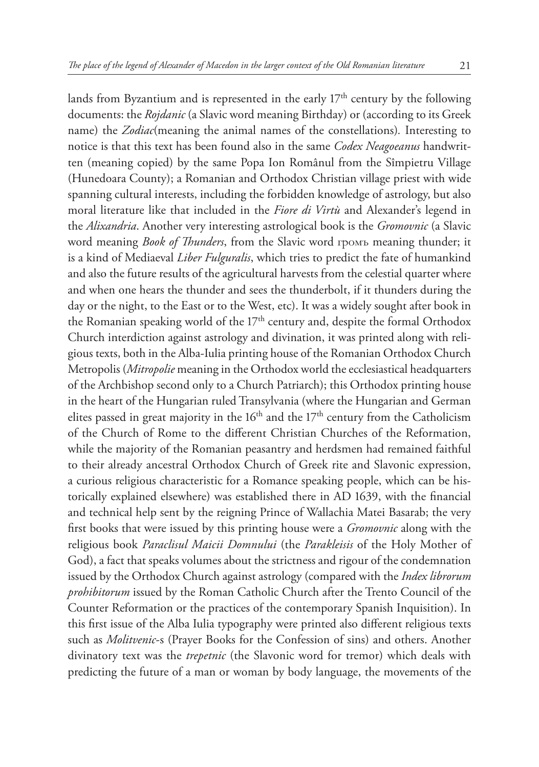lands from Byzantium and is represented in the early  $17<sup>th</sup>$  century by the following documents: the *Rojdanic* (a Slavic word meaning Birthday) or (according to its Greek name) the *Zodiac*(meaning the animal names of the constellations)*.* Interesting to notice is that this text has been found also in the same *Codex Neagoeanus* handwritten (meaning copied) by the same Popa Ion Românul from the Sîmpietru Village (Hunedoara County); a Romanian and Orthodox Christian village priest with wide spanning cultural interests, including the forbidden knowledge of astrology, but also moral literature like that included in the *Fiore di Virtù* and Alexander's legend in the *Alixandria*. Another very interesting astrological book is the *Gromovnic* (a Slavic word meaning *Book of Thunders*, from the Slavic word громъ meaning thunder; it is a kind of Mediaeval *Liber Fulguralis*, which tries to predict the fate of humankind and also the future results of the agricultural harvests from the celestial quarter where and when one hears the thunder and sees the thunderbolt, if it thunders during the day or the night, to the East or to the West, etc). It was a widely sought after book in the Romanian speaking world of the 17<sup>th</sup> century and, despite the formal Orthodox Church interdiction against astrology and divination, it was printed along with religious texts, both in the Alba-Iulia printing house of the Romanian Orthodox Church Metropolis (*Mitropolie* meaning in the Orthodox world the ecclesiastical headquarters of the Archbishop second only to a Church Patriarch); this Orthodox printing house in the heart of the Hungarian ruled Transylvania (where the Hungarian and German elites passed in great majority in the  $16<sup>th</sup>$  and the  $17<sup>th</sup>$  century from the Catholicism of the Church of Rome to the different Christian Churches of the Reformation, while the majority of the Romanian peasantry and herdsmen had remained faithful to their already ancestral Orthodox Church of Greek rite and Slavonic expression, a curious religious characteristic for a Romance speaking people, which can be historically explained elsewhere) was established there in AD 1639, with the financial and technical help sent by the reigning Prince of Wallachia Matei Basarab; the very first books that were issued by this printing house were a *Gromovnic* along with the religious book *Paraclisul Maicii Domnului* (the *Parakleisis* of the Holy Mother of God), a fact that speaks volumes about the strictness and rigour of the condemnation issued by the Orthodox Church against astrology (compared with the *Index librorum prohibitorum* issued by the Roman Catholic Church after the Trento Council of the Counter Reformation or the practices of the contemporary Spanish Inquisition). In this first issue of the Alba Iulia typography were printed also different religious texts such as *Molitvenic*-s (Prayer Books for the Confession of sins) and others. Another divinatory text was the *trepetnic* (the Slavonic word for tremor) which deals with predicting the future of a man or woman by body language, the movements of the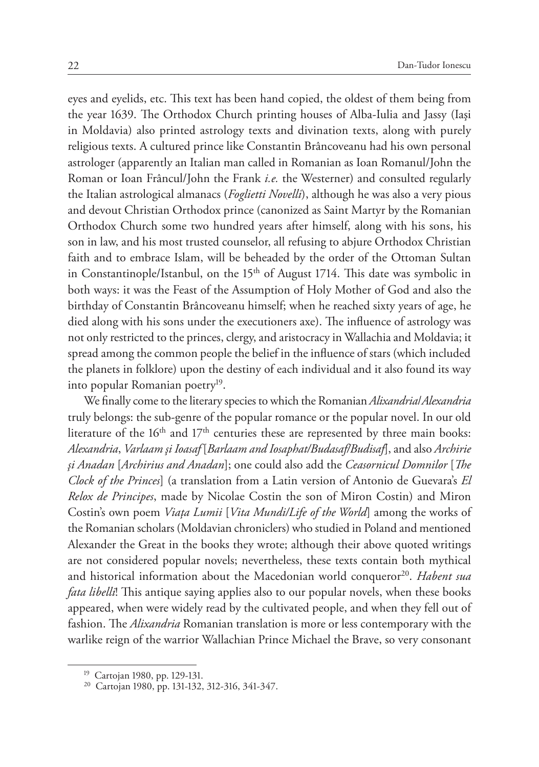eyes and eyelids, etc. This text has been hand copied, the oldest of them being from the year 1639. The Orthodox Church printing houses of Alba-Iulia and Jassy (Iaşi in Moldavia) also printed astrology texts and divination texts, along with purely religious texts. A cultured prince like Constantin Brâncoveanu had his own personal astrologer (apparently an Italian man called in Romanian as Ioan Romanul/John the Roman or Ioan Frâncul/John the Frank *i.e.* the Westerner) and consulted regularly the Italian astrological almanacs (*Foglietti Novelli*), although he was also a very pious and devout Christian Orthodox prince (canonized as Saint Martyr by the Romanian Orthodox Church some two hundred years after himself, along with his sons, his son in law, and his most trusted counselor, all refusing to abjure Orthodox Christian faith and to embrace Islam, will be beheaded by the order of the Ottoman Sultan in Constantinople/Istanbul, on the 15<sup>th</sup> of August 1714. This date was symbolic in both ways: it was the Feast of the Assumption of Holy Mother of God and also the birthday of Constantin Brâncoveanu himself; when he reached sixty years of age, he died along with his sons under the executioners axe). The influence of astrology was not only restricted to the princes, clergy, and aristocracy in Wallachia and Moldavia; it spread among the common people the belief in the influence of stars (which included the planets in folklore) upon the destiny of each individual and it also found its way into popular Romanian poetry<sup>19</sup>.

We finally come to the literary species to which the Romanian *Alixandria*/*Alexandria*  truly belongs: the sub-genre of the popular romance or the popular novel. In our old literature of the  $16<sup>th</sup>$  and  $17<sup>th</sup>$  centuries these are represented by three main books: *Alexandria*, *Varlaam şi Ioasaf* [*Barlaam and Iosaphat/Budasaf/Budisaf*], and also *Archirie şi Anadan* [*Archirius and Anadan*]; one could also add the *Ceasornicul Domnilor* [*The Clock of the Princes*] (a translation from a Latin version of Antonio de Guevara's *El Relox de Principes*, made by Nicolae Costin the son of Miron Costin) and Miron Costin's own poem *Viaţa Lumii* [*Vita Mundi/Life of the World*] among the works of the Romanian scholars (Moldavian chroniclers) who studied in Poland and mentioned Alexander the Great in the books they wrote; although their above quoted writings are not considered popular novels; nevertheless, these texts contain both mythical and historical information about the Macedonian world conqueror<sup>20</sup>. *Habent sua fata libelli*! This antique saying applies also to our popular novels, when these books appeared, when were widely read by the cultivated people, and when they fell out of fashion. The *Alixandria* Romanian translation is more or less contemporary with the warlike reign of the warrior Wallachian Prince Michael the Brave, so very consonant

<sup>&</sup>lt;sup>19</sup> Cartojan 1980, pp. 129-131.<br><sup>20</sup> Cartojan 1980, pp. 131-132, 312-316, 341-347.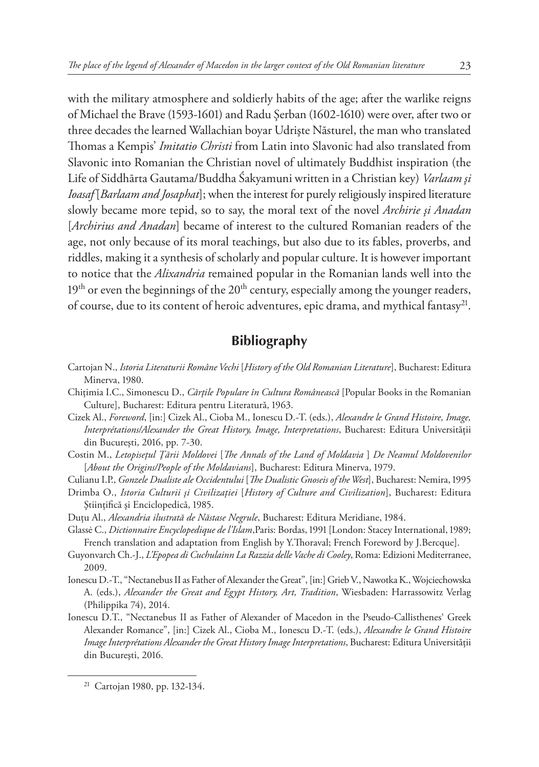with the military atmosphere and soldierly habits of the age; after the warlike reigns of Michael the Brave (1593-1601) and Radu Şerban (1602-1610) were over, after two or three decades the learned Wallachian boyar Udrişte Năsturel, the man who translated Thomas a Kempis' *Imitatio Christi* from Latin into Slavonic had also translated from Slavonic into Romanian the Christian novel of ultimately Buddhist inspiration (the Life of Siddhārta Gautama/Buddha Śakyamuni written in a Christian key) *Varlaam şi Ioasaf* [*Barlaam and Josaphat*]; when the interest for purely religiously inspired literature slowly became more tepid, so to say, the moral text of the novel *Archirie şi Anadan* [*Archirius and Anadan*] became of interest to the cultured Romanian readers of the age, not only because of its moral teachings, but also due to its fables, proverbs, and riddles, making it a synthesis of scholarly and popular culture. It is however important to notice that the *Alixandria* remained popular in the Romanian lands well into the  $19<sup>th</sup>$  or even the beginnings of the  $20<sup>th</sup>$  century, especially among the younger readers, of course, due to its content of heroic adventures, epic drama, and mythical fantasy<sup>21</sup>.

# **Bibliography**

- Cartojan N., *Istoria Literaturii Române Vechi* [*History of the Old Romanian Literature*], Bucharest: Editura Minerva, 1980.
- Chiţimia I.C., Simonescu D., *Cărţile Populare în Cultura Românească* [Popular Books in the Romanian Culture], Bucharest: Editura pentru Literatură, 1963.
- Cizek Al., *Foreword*, [in:] Cizek Al., Cioba M., Ionescu D.-T. (eds.), *Alexandre le Grand Histoire, Image, Interprétations/Alexander the Great History, Image, Interpretations*, Bucharest: Editura Universității din Bucureşti, 2016, pp. 7-30.
- Costin M., *Letopiseţul Ţării Moldovei* [*The Annals of the Land of Moldavia* ] *De Neamul Moldovenilor*  [*About the Origins/People of the Moldavians*], Bucharest: Editura Minerva, 1979.
- Culianu I.P., *Gonzele Dualiste ale Occidentului* [*The Dualistic Gnoseis of the West*], Bucharest: Nemira, 1995
- Drimba O., *Istoria Culturii şi Civilizaţiei* [*History of Culture and Civilization*], Bucharest: Editura Ştiinţifică şi Enciclopedică, 1985.
- Duţu Al., *Alexandria ilustrată de Năstase Negrule*, Bucharest: Editura Meridiane, 1984.
- Glassė C., *Dictionnaire Encyclopedique de l'Islam*,Paris: Bordas, 1991 [London: Stacey International, 1989; French translation and adaptation from English by Y.Thoraval; French Foreword by J.Bercque].
- Guyonvarch Ch.-J., *L'Epopea di Cuchulainn La Razzia delle Vache di Cooley*, Roma: Edizioni Mediterranee, 2009.
- Ionescu D.-T., "Nectanebus II as Father of Alexander the Great", [in:] Grieb V., Nawotka K., Wojciechowska A. (eds.), *Alexander the Great and Egypt History, Art, Tradition*, Wiesbaden: Harrassowitz Verlag (Philippika 74), 2014.
- Ionescu D.T., "Nectanebus II as Father of Alexander of Macedon in the Pseudo-Callisthenes' Greek Alexander Romance", [in:] Cizek Al., Cioba M., Ionescu D.-T. (eds.), *Alexandre le Grand Histoire Image Interprétations Alexander the Great History Image Interpretations*, Bucharest: Editura Universităţii din Bucureşti, 2016.

<sup>21</sup> Cartojan 1980, pp. 132-134.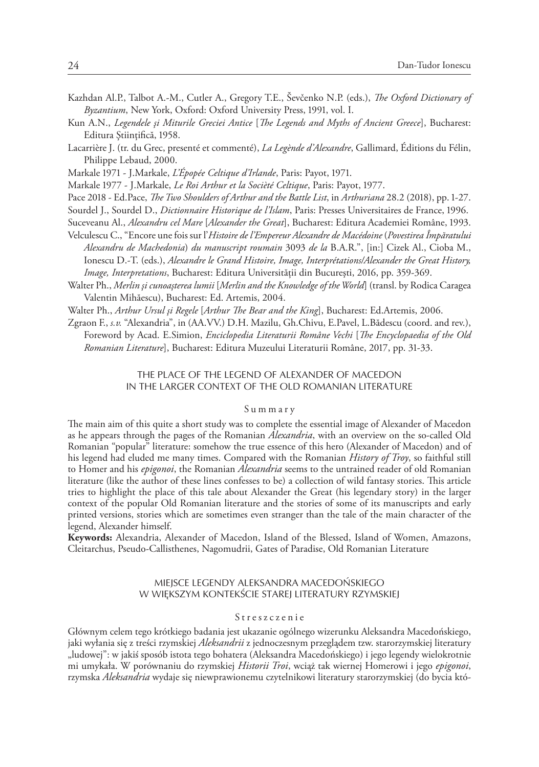- Kazhdan Al.P., Talbot A.-M., Cutler A., Gregory T.E., Ševčenko N.P. (eds.), *The Oxford Dictionary of Byzantium*, New York, Oxford: Oxford University Press, 1991, vol. I.
- Kun A.N., *Legendele şi Miturile Greciei Antice* [*The Legends and Myths of Ancient Greece*], Bucharest: Editura Stiințifică, 1958.
- Lacarrière J. (tr. du Grec, presenté et commenté), *La Legènde d'Alexandre*, Gallimard, Éditions du Félin, Philippe Lebaud, 2000.
- Markale 1971 J.Markale, *L'Épopée Celtique d'Irlande*, Paris: Payot, 1971.
- Markale 1977 J.Markale, *Le Roi Arthur et la Socièté Celtique*, Paris: Payot, 1977.
- Pace 2018 Ed.Pace, *The Two Shoulders of Arthur and the Battle List*, in *Arthuriana* 28.2 (2018), pp. 1-27.
- Sourdel J., Sourdel D., *Dictionnaire Historique de l'Islam*, Paris: Presses Universitaires de France, 1996.
- Suceveanu Al., *Alexandru cel Mare* [*Alexander the Great*], Bucharest: Editura Academiei Române, 1993.
- Velculescu C., "Encore une fois sur l'*Histoire de l'Empereur Alexandre de Macédoine* (*Povestirea Împăratului Alexandru de Machedonia*) *du manuscript roumain* 3093 *de la* B.A.R.", [in:] Cizek Al., Cioba M., Ionescu D.-T. (eds.), *Alexandre le Grand Histoire, Image, Interprétations/Alexander the Great History, Image, Interpretations*, Bucharest: Editura Universității din Bucureşti, 2016, pp. 359-369.
- Walter Ph., *Merlin şi cunoaşterea lumii* [*Merlin and the Knowledge of the World*] (transl. by Rodica Caragea Valentin Mihăescu), Bucharest: Ed. Artemis, 2004.
- Walter Ph., *Arthur Ursul şi Regele* [*Arthur The Bear and the King*], Bucharest: Ed.Artemis, 2006.
- Zgraon F., *s.v.* "Alexandria", in (AA.VV.) D.H. Mazilu, Gh.Chivu, E.Pavel, L.Bădescu (coord. and rev.), Foreword by Acad. E.Simion, *Enciclopedia Literaturii Române Vechi* [*The Encyclopaedia of the Old Romanian Literature*], Bucharest: Editura Muzeului Literaturii Române, 2017, pp. 31-33.

## THE PLACE OF THE LEGEND OF ALEXANDER OF MACEDON IN THE LARGER CONTEXT OF THE OLD ROMANIAN LITERATURE

#### Summary

The main aim of this quite a short study was to complete the essential image of Alexander of Macedon as he appears through the pages of the Romanian *Alexandria*, with an overview on the so-called Old Romanian "popular" literature: somehow the true essence of this hero (Alexander of Macedon) and of his legend had eluded me many times. Compared with the Romanian *History of Troy*, so faithful still to Homer and his *epigonoi*, the Romanian *Alexandria* seems to the untrained reader of old Romanian literature (like the author of these lines confesses to be) a collection of wild fantasy stories. This article tries to highlight the place of this tale about Alexander the Great (his legendary story) in the larger context of the popular Old Romanian literature and the stories of some of its manuscripts and early printed versions, stories which are sometimes even stranger than the tale of the main character of the legend, Alexander himself.

**Keywords:** Alexandria, Alexander of Macedon, Island of the Blessed, Island of Women, Amazons, Cleitarchus, Pseudo-Callisthenes, Nagomudrii, Gates of Paradise, Old Romanian Literature

### MIEJSCE LEGENDY ALEKSANDRA MACEDOŃSKIEGO W WIĘKSZYM KONTEKŚCIE STAREJ LITERATURY RZYMSKIEJ

#### Streszczenie

Głównym celem tego krótkiego badania jest ukazanie ogólnego wizerunku Aleksandra Macedońskiego, jaki wyłania się z treści rzymskiej *Aleksandrii* z jednoczesnym przeglądem tzw. starorzymskiej literatury "ludowej": w jakiś sposób istota tego bohatera (Aleksandra Macedońskiego) i jego legendy wielokrotnie mi umykała. W porównaniu do rzymskiej *Historii Troi*, wciąż tak wiernej Homerowi i jego *epigonoi*, rzymska *Aleksandria* wydaje się niewprawionemu czytelnikowi literatury starorzymskiej (do bycia któ-